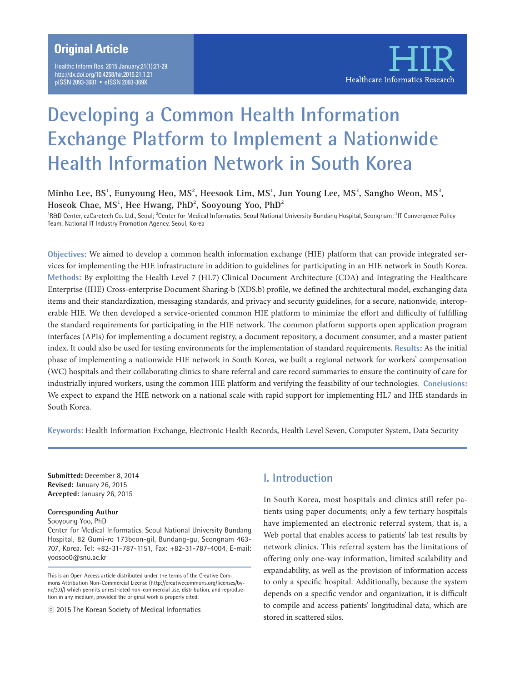Healthc Inform Res. 2015 January;21(1):21-29. http://dx.doi.org/10.4258/hir.2015.21.1.21 pISSN 2093-3681 • eISSN 2093-369X

# **Developing a Common Health Information Exchange Platform to Implement a Nationwide Health Information Network in South Korea**

Minho Lee, BS<sup>1</sup>, Eunyoung Heo, MS<sup>2</sup>, Heesook Lim, MS<sup>1</sup>, Jun Young Lee, MS<sup>3</sup>, Sangho Weon, MS<sup>3</sup>,  $\text{Hoseok Chae, MS}^1$ , Hee Hwang, PhD<sup>2</sup>, Sooyoung Yoo, PhD<sup>2</sup>

<sup>1</sup>R&D Center, ezCaretech Co. Ltd., Seoul; <sup>2</sup>Center for Medical Informatics, Seoul National University Bundang Hospital, Seongnam; <sup>3</sup>IT Convergence Policy Team, National IT Industry Promotion Agency, Seoul, Korea

**Objectives:** We aimed to develop a common health information exchange (HIE) platform that can provide integrated services for implementing the HIE infrastructure in addition to guidelines for participating in an HIE network in South Korea. **Methods:** By exploiting the Health Level 7 (HL7) Clinical Document Architecture (CDA) and Integrating the Healthcare Enterprise (IHE) Cross-enterprise Document Sharing-b (XDS.b) profile, we defined the architectural model, exchanging data items and their standardization, messaging standards, and privacy and security guidelines, for a secure, nationwide, interoperable HIE. We then developed a service-oriented common HIE platform to minimize the effort and difficulty of fulfilling the standard requirements for participating in the HIE network. The common platform supports open application program interfaces (APIs) for implementing a document registry, a document repository, a document consumer, and a master patient index. It could also be used for testing environments for the implementation of standard requirements. **Results:** As the initial phase of implementing a nationwide HIE network in South Korea, we built a regional network for workers' compensation (WC) hospitals and their collaborating clinics to share referral and care record summaries to ensure the continuity of care for industrially injured workers, using the common HIE platform and verifying the feasibility of our technologies. **Conclusions:** We expect to expand the HIE network on a national scale with rapid support for implementing HL7 and IHE standards in South Korea.

**Keywords:** Health Information Exchange, Electronic Health Records, Health Level Seven, Computer System, Data Security

**Submitted:** December 8, 2014 **Revised:** January 26, 2015 **Accepted:** January 26, 2015

#### **Corresponding Author**

Sooyoung Yoo, PhD

Center for Medical Informatics, Seoul National University Bundang Hospital, 82 Gumi-ro 173beon-gil, Bundang-gu, Seongnam 463- 707, Korea. Tel: +82-31-787-1151, Fax: +82-31-787-4004, E-mail: yoosoo0@snu.ac.kr

ⓒ 2015 The Korean Society of Medical Informatics

# **I. Introduction**

In South Korea, most hospitals and clinics still refer patients using paper documents; only a few tertiary hospitals have implemented an electronic referral system, that is, a Web portal that enables access to patients' lab test results by network clinics. This referral system has the limitations of offering only one-way information, limited scalability and expandability, as well as the provision of information access to only a specific hospital. Additionally, because the system depends on a specific vendor and organization, it is difficult to compile and access patients' longitudinal data, which are stored in scattered silos.

This is an Open Access article distributed under the terms of the Creative Commons Attribution Non-Commercial License (http://creativecommons.org/licenses/bync/3.0/) which permits unrestricted non-commercial use, distribution, and reproduction in any medium, provided the original work is properly cited.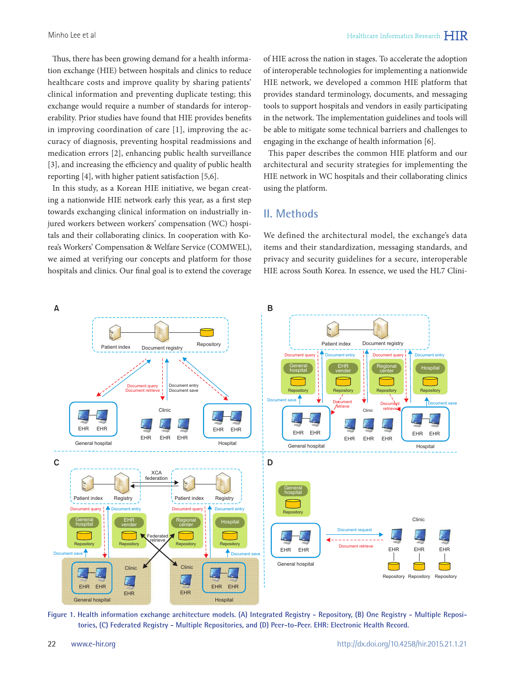Thus, there has been growing demand for a health information exchange (HIE) between hospitals and clinics to reduce healthcare costs and improve quality by sharing patients' clinical information and preventing duplicate testing; this exchange would require a number of standards for interoperability. Prior studies have found that HIE provides benefits in improving coordination of care [1], improving the accuracy of diagnosis, preventing hospital readmissions and medication errors [2], enhancing public health surveillance [3], and increasing the efficiency and quality of public health reporting [4], with higher patient satisfaction [5,6].

In this study, as a Korean HIE initiative, we began creating a nationwide HIE network early this year, as a first step towards exchanging clinical information on industrially injured workers between workers' compensation (WC) hospitals and their collaborating clinics. In cooperation with Korea's Workers' Compensation & Welfare Service (COMWEL), we aimed at verifying our concepts and platform for those hospitals and clinics. Our final goal is to extend the coverage

of HIE across the nation in stages. To accelerate the adoption of interoperable technologies for implementing a nationwide HIE network, we developed a common HIE platform that provides standard terminology, documents, and messaging tools to support hospitals and vendors in easily participating in the network. The implementation guidelines and tools will be able to mitigate some technical barriers and challenges to engaging in the exchange of health information [6].

This paper describes the common HIE platform and our architectural and security strategies for implementing the HIE network in WC hospitals and their collaborating clinics using the platform.

## **II. Methods**

We defined the architectural model, the exchange's data items and their standardization, messaging standards, and privacy and security guidelines for a secure, interoperable HIE across South Korea. In essence, we used the HL7 Clini-



**Figure 1. Health information exchange architecture models. (A) Integrated Registry - Repository, (B) One Registry - Multiple Repositories, (C) Federated Registry - Multiple Repositories, and (D) Peer-to-Peer. EHR: Electronic Health Record.**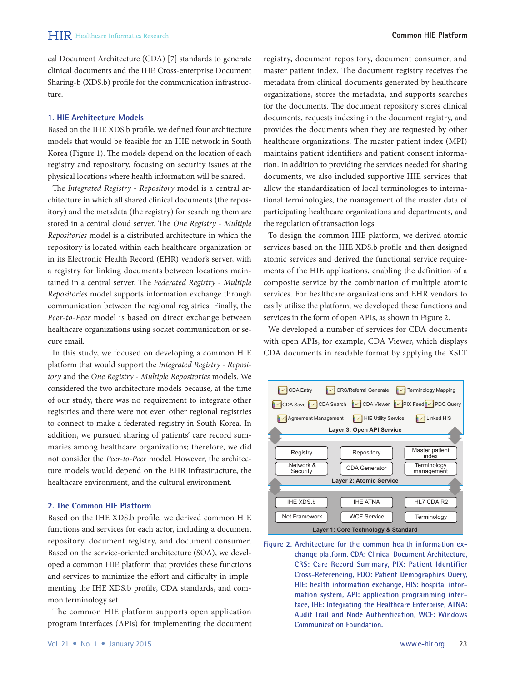cal Document Architecture (CDA) [7] standards to generate clinical documents and the IHE Cross-enterprise Document Sharing-b (XDS.b) profile for the communication infrastructure.

## **1. HIE Architecture Models**

Based on the IHE XDS.b profile, we defined four architecture models that would be feasible for an HIE network in South Korea (Figure 1). The models depend on the location of each registry and repository, focusing on security issues at the physical locations where health information will be shared.

The *Integrated Registry - Repository* model is a central architecture in which all shared clinical documents (the repository) and the metadata (the registry) for searching them are stored in a central cloud server. The *One Registry - Multiple Repositories* model is a distributed architecture in which the repository is located within each healthcare organization or in its Electronic Health Record (EHR) vendor's server, with a registry for linking documents between locations maintained in a central server. The *Federated Registry - Multiple Repositories* model supports information exchange through communication between the regional registries. Finally, the *Peer-to-Peer* model is based on direct exchange between healthcare organizations using socket communication or secure email.

In this study, we focused on developing a common HIE platform that would support the *Integrated Registry - Repository* and the *One Registry - Multiple Repositories* models. We considered the two architecture models because, at the time of our study, there was no requirement to integrate other registries and there were not even other regional registries to connect to make a federated registry in South Korea. In addition, we pursued sharing of patients' care record summaries among healthcare organizations; therefore, we did not consider the *Peer-to-Peer* model. However, the architecture models would depend on the EHR infrastructure, the healthcare environment, and the cultural environment.

#### **2. The Common HIE Platform**

Based on the IHE XDS.b profile, we derived common HIE functions and services for each actor, including a document repository, document registry, and document consumer. Based on the service-oriented architecture (SOA), we developed a common HIE platform that provides these functions and services to minimize the effort and difficulty in implementing the IHE XDS.b profile, CDA standards, and common terminology set.

The common HIE platform supports open application program interfaces (APIs) for implementing the document

registry, document repository, document consumer, and master patient index. The document registry receives the metadata from clinical documents generated by healthcare organizations, stores the metadata, and supports searches for the documents. The document repository stores clinical documents, requests indexing in the document registry, and provides the documents when they are requested by other healthcare organizations. The master patient index (MPI) maintains patient identifiers and patient consent information. In addition to providing the services needed for sharing documents, we also included supportive HIE services that allow the standardization of local terminologies to international terminologies, the management of the master data of participating healthcare organizations and departments, and the regulation of transaction logs.

To design the common HIE platform, we derived atomic services based on the IHE XDS.b profile and then designed atomic services and derived the functional service requirements of the HIE applications, enabling the definition of a composite service by the combination of multiple atomic services. For healthcare organizations and EHR vendors to easily utilize the platform, we developed these functions and services in the form of open APIs, as shown in Figure 2.

We developed a number of services for CDA documents with open APIs, for example, CDA Viewer, which displays CDA documents in readable format by applying the XSLT



**Figure 2. Architecture for the common health information exchange platform. CDA: Clinical Document Architecture, CRS: Care Record Summary, PIX: Patient Identifier Cross-Referencing, PDQ: Patient Demographics Query, HIE: health information exchange, HIS: hospital information system, API: application programming interface, IHE: Integrating the Healthcare Enterprise, ATNA: Audit Trail and Node Authentication, WCF: Windows Communication Foundation.**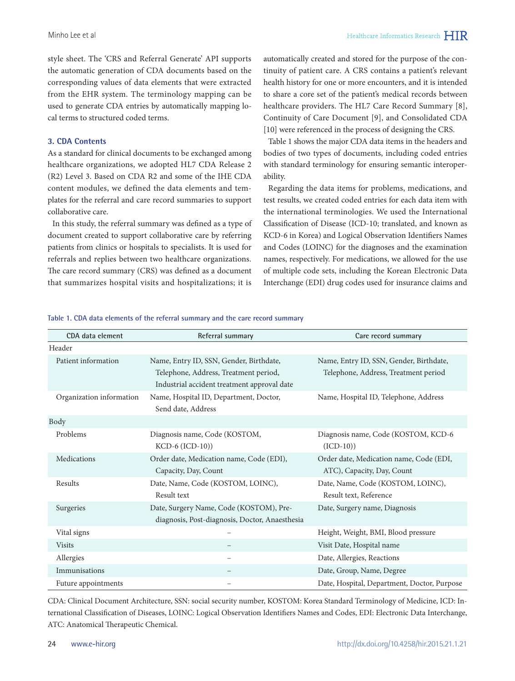style sheet. The 'CRS and Referral Generate' API supports the automatic generation of CDA documents based on the corresponding values of data elements that were extracted from the EHR system. The terminology mapping can be used to generate CDA entries by automatically mapping local terms to structured coded terms.

## **3. CDA Contents**

As a standard for clinical documents to be exchanged among healthcare organizations, we adopted HL7 CDA Release 2 (R2) Level 3. Based on CDA R2 and some of the IHE CDA content modules, we defined the data elements and templates for the referral and care record summaries to support collaborative care.

In this study, the referral summary was defined as a type of document created to support collaborative care by referring patients from clinics or hospitals to specialists. It is used for referrals and replies between two healthcare organizations. The care record summary (CRS) was defined as a document that summarizes hospital visits and hospitalizations; it is

automatically created and stored for the purpose of the continuity of patient care. A CRS contains a patient's relevant health history for one or more encounters, and it is intended to share a core set of the patient's medical records between healthcare providers. The HL7 Care Record Summary [8], Continuity of Care Document [9], and Consolidated CDA [10] were referenced in the process of designing the CRS.

Table 1 shows the major CDA data items in the headers and bodies of two types of documents, including coded entries with standard terminology for ensuring semantic interoperability.

Regarding the data items for problems, medications, and test results, we created coded entries for each data item with the international terminologies. We used the International Classification of Disease (ICD-10; translated, and known as KCD-6 in Korea) and Logical Observation Identifiers Names and Codes (LOINC) for the diagnoses and the examination names, respectively. For medications, we allowed for the use of multiple code sets, including the Korean Electronic Data Interchange (EDI) drug codes used for insurance claims and

| CDA data element         | Referral summary                                                                                                                | Care record summary                                                             |
|--------------------------|---------------------------------------------------------------------------------------------------------------------------------|---------------------------------------------------------------------------------|
| Header                   |                                                                                                                                 |                                                                                 |
| Patient information      | Name, Entry ID, SSN, Gender, Birthdate,<br>Telephone, Address, Treatment period,<br>Industrial accident treatment approval date | Name, Entry ID, SSN, Gender, Birthdate,<br>Telephone, Address, Treatment period |
| Organization information | Name, Hospital ID, Department, Doctor,<br>Send date, Address                                                                    | Name, Hospital ID, Telephone, Address                                           |
| Body                     |                                                                                                                                 |                                                                                 |
| Problems                 | Diagnosis name, Code (KOSTOM,<br>KCD-6 (ICD-10))                                                                                | Diagnosis name, Code (KOSTOM, KCD-6<br>$(ICD-10))$                              |
| Medications              | Order date, Medication name, Code (EDI),<br>Capacity, Day, Count                                                                | Order date, Medication name, Code (EDI,<br>ATC), Capacity, Day, Count           |
| Results                  | Date, Name, Code (KOSTOM, LOINC),<br>Result text                                                                                | Date, Name, Code (KOSTOM, LOINC),<br>Result text, Reference                     |
| Surgeries                | Date, Surgery Name, Code (KOSTOM), Pre-<br>diagnosis, Post-diagnosis, Doctor, Anaesthesia                                       | Date, Surgery name, Diagnosis                                                   |
| Vital signs              |                                                                                                                                 | Height, Weight, BMI, Blood pressure                                             |
| <b>Visits</b>            |                                                                                                                                 | Visit Date, Hospital name                                                       |
| Allergies                | -                                                                                                                               | Date, Allergies, Reactions                                                      |
| Immunisations            |                                                                                                                                 | Date, Group, Name, Degree                                                       |
| Future appointments      | —                                                                                                                               | Date, Hospital, Department, Doctor, Purpose                                     |

**Table 1. CDA data elements of the referral summary and the care record summary**

CDA: Clinical Document Architecture, SSN: social security number, KOSTOM: Korea Standard Terminology of Medicine, ICD: International Classification of Diseases, LOINC: Logical Observation Identifiers Names and Codes, EDI: Electronic Data Interchange, ATC: Anatomical Therapeutic Chemical.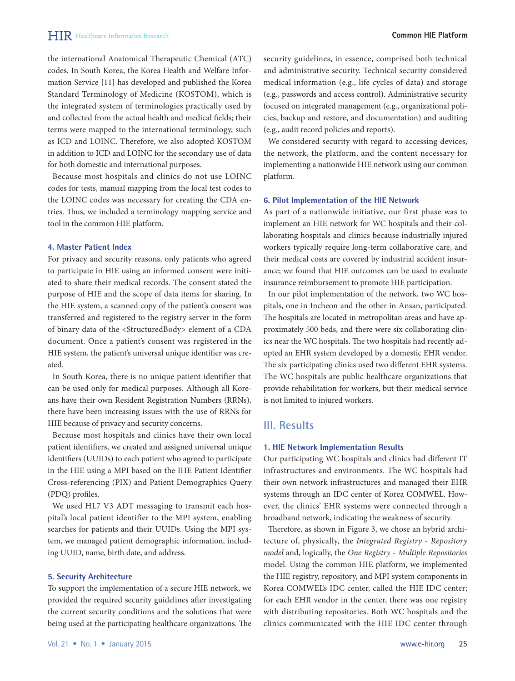## **HIR** Healthcare Informatics Research

the international Anatomical Therapeutic Chemical (ATC) codes. In South Korea, the Korea Health and Welfare Information Service [11] has developed and published the Korea Standard Terminology of Medicine (KOSTOM), which is the integrated system of terminologies practically used by and collected from the actual health and medical fields; their terms were mapped to the international terminology, such as ICD and LOINC. Therefore, we also adopted KOSTOM in addition to ICD and LOINC for the secondary use of data for both domestic and international purposes.

Because most hospitals and clinics do not use LOINC codes for tests, manual mapping from the local test codes to the LOINC codes was necessary for creating the CDA entries. Thus, we included a terminology mapping service and tool in the common HIE platform.

#### **4. Master Patient Index**

For privacy and security reasons, only patients who agreed to participate in HIE using an informed consent were initiated to share their medical records. The consent stated the purpose of HIE and the scope of data items for sharing. In the HIE system, a scanned copy of the patient's consent was transferred and registered to the registry server in the form of binary data of the <StructuredBody> element of a CDA document. Once a patient's consent was registered in the HIE system, the patient's universal unique identifier was created.

In South Korea, there is no unique patient identifier that can be used only for medical purposes. Although all Koreans have their own Resident Registration Numbers (RRNs), there have been increasing issues with the use of RRNs for HIE because of privacy and security concerns.

Because most hospitals and clinics have their own local patient identifiers, we created and assigned universal unique identifiers (UUIDs) to each patient who agreed to participate in the HIE using a MPI based on the IHE Patient Identifier Cross-referencing (PIX) and Patient Demographics Query (PDQ) profiles.

We used HL7 V3 ADT messaging to transmit each hospital's local patient identifier to the MPI system, enabling searches for patients and their UUIDs. Using the MPI system, we managed patient demographic information, including UUID, name, birth date, and address.

## **5. Security Architecture**

To support the implementation of a secure HIE network, we provided the required security guidelines after investigating the current security conditions and the solutions that were being used at the participating healthcare organizations. The

security guidelines, in essence, comprised both technical and administrative security. Technical security considered medical information (e.g., life cycles of data) and storage (e.g., passwords and access control). Administrative security focused on integrated management (e.g., organizational policies, backup and restore, and documentation) and auditing (e.g., audit record policies and reports).

We considered security with regard to accessing devices, the network, the platform, and the content necessary for implementing a nationwide HIE network using our common platform.

#### **6. Pilot Implementation of the HIE Network**

As part of a nationwide initiative, our first phase was to implement an HIE network for WC hospitals and their collaborating hospitals and clinics because industrially injured workers typically require long-term collaborative care, and their medical costs are covered by industrial accident insurance; we found that HIE outcomes can be used to evaluate insurance reimbursement to promote HIE participation.

In our pilot implementation of the network, two WC hospitals, one in Incheon and the other in Ansan, participated. The hospitals are located in metropolitan areas and have approximately 500 beds, and there were six collaborating clinics near the WC hospitals. The two hospitals had recently adopted an EHR system developed by a domestic EHR vendor. The six participating clinics used two different EHR systems. The WC hospitals are public healthcare organizations that provide rehabilitation for workers, but their medical service is not limited to injured workers.

## **III. Results**

#### **1. HIE Network Implementation Results**

Our participating WC hospitals and clinics had different IT infrastructures and environments. The WC hospitals had their own network infrastructures and managed their EHR systems through an IDC center of Korea COMWEL. However, the clinics' EHR systems were connected through a broadband network, indicating the weakness of security.

Therefore, as shown in Figure 3, we chose an hybrid architecture of, physically, the *Integrated Registry - Repository model* and, logically, the *One Registry - Multiple Repositories* model. Using the common HIE platform, we implemented the HIE registry, repository, and MPI system components in Korea COMWEL's IDC center, called the HIE IDC center; for each EHR vendor in the center, there was one registry with distributing repositories. Both WC hospitals and the clinics communicated with the HIE IDC center through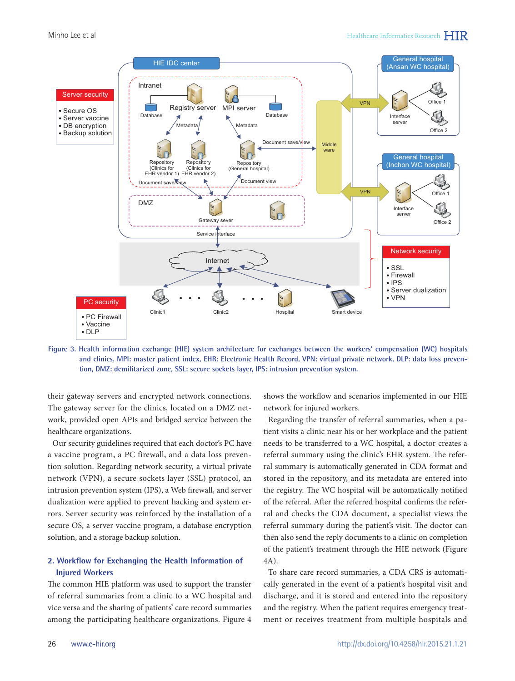

**Figure 3. Health information exchange (HIE) system architecture for exchanges between the workers' compensation (WC) hospitals and clinics. MPI: master patient index, EHR: Electronic Health Record, VPN: virtual private network, DLP: data loss prevention, DMZ: demilitarized zone, SSL: secure sockets layer, IPS: intrusion prevention system.**

their gateway servers and encrypted network connections. The gateway server for the clinics, located on a DMZ network, provided open APIs and bridged service between the healthcare organizations.

Our security guidelines required that each doctor's PC have a vaccine program, a PC firewall, and a data loss prevention solution. Regarding network security, a virtual private network (VPN), a secure sockets layer (SSL) protocol, an intrusion prevention system (IPS), a Web firewall, and server dualization were applied to prevent hacking and system errors. Server security was reinforced by the installation of a secure OS, a server vaccine program, a database encryption solution, and a storage backup solution.

## **2. Workflow for Exchanging the Health Information of Injured Workers**

The common HIE platform was used to support the transfer of referral summaries from a clinic to a WC hospital and vice versa and the sharing of patients' care record summaries among the participating healthcare organizations. Figure 4 shows the workflow and scenarios implemented in our HIE network for injured workers.

Regarding the transfer of referral summaries, when a patient visits a clinic near his or her workplace and the patient needs to be transferred to a WC hospital, a doctor creates a referral summary using the clinic's EHR system. The referral summary is automatically generated in CDA format and stored in the repository, and its metadata are entered into the registry. The WC hospital will be automatically notified of the referral. After the referred hospital confirms the referral and checks the CDA document, a specialist views the referral summary during the patient's visit. The doctor can then also send the reply documents to a clinic on completion of the patient's treatment through the HIE network (Figure 4A).

To share care record summaries, a CDA CRS is automatically generated in the event of a patient's hospital visit and discharge, and it is stored and entered into the repository and the registry. When the patient requires emergency treatment or receives treatment from multiple hospitals and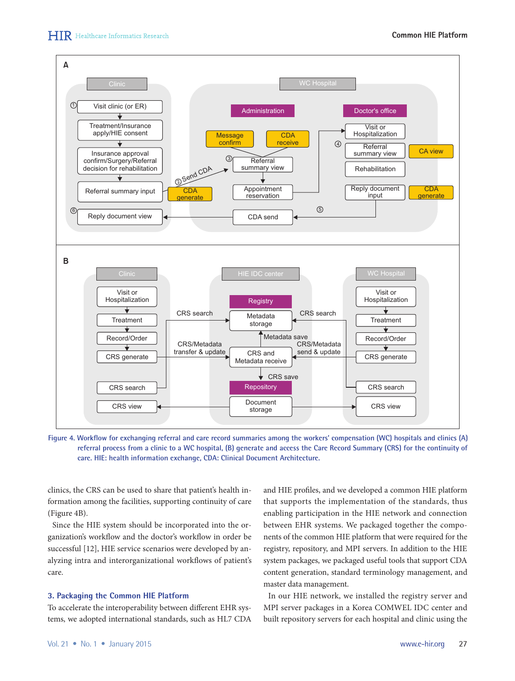

**Figure 4. Workflow for exchanging referral and care record summaries among the workers' compensation (WC) hospitals and clinics (A) referral process from a clinic to a WC hospital, (B) generate and access the Care Record Summary (CRS) for the continuity of care. HIE: health information exchange, CDA: Clinical Document Architecture.** 

clinics, the CRS can be used to share that patient's health information among the facilities, supporting continuity of care (Figure 4B).

Since the HIE system should be incorporated into the organization's workflow and the doctor's workflow in order be successful [12], HIE service scenarios were developed by analyzing intra and interorganizational workflows of patient's care.

## **3. Packaging the Common HIE Platform**

To accelerate the interoperability between different EHR systems, we adopted international standards, such as HL7 CDA

and HIE profiles, and we developed a common HIE platform that supports the implementation of the standards, thus enabling participation in the HIE network and connection between EHR systems. We packaged together the components of the common HIE platform that were required for the registry, repository, and MPI servers. In addition to the HIE system packages, we packaged useful tools that support CDA content generation, standard terminology management, and master data management.

In our HIE network, we installed the registry server and MPI server packages in a Korea COMWEL IDC center and built repository servers for each hospital and clinic using the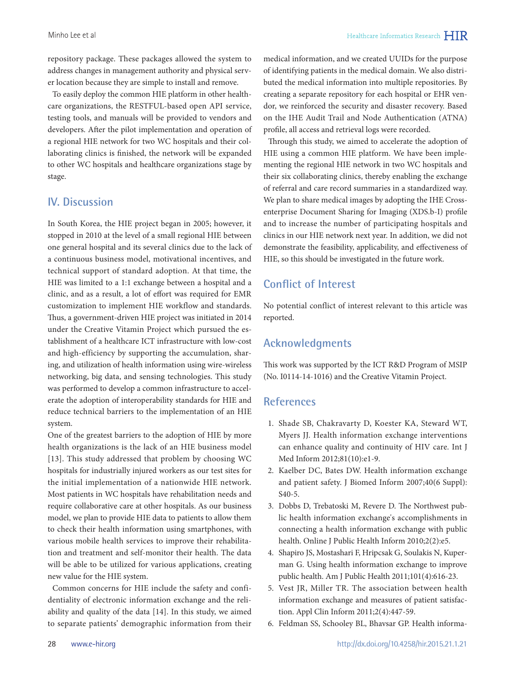repository package. These packages allowed the system to address changes in management authority and physical server location because they are simple to install and remove.

To easily deploy the common HIE platform in other healthcare organizations, the RESTFUL-based open API service, testing tools, and manuals will be provided to vendors and developers. After the pilot implementation and operation of a regional HIE network for two WC hospitals and their collaborating clinics is finished, the network will be expanded to other WC hospitals and healthcare organizations stage by stage.

# **IV. Discussion**

In South Korea, the HIE project began in 2005; however, it stopped in 2010 at the level of a small regional HIE between one general hospital and its several clinics due to the lack of a continuous business model, motivational incentives, and technical support of standard adoption. At that time, the HIE was limited to a 1:1 exchange between a hospital and a clinic, and as a result, a lot of effort was required for EMR customization to implement HIE workflow and standards. Thus, a government-driven HIE project was initiated in 2014 under the Creative Vitamin Project which pursued the establishment of a healthcare ICT infrastructure with low-cost and high-efficiency by supporting the accumulation, sharing, and utilization of health information using wire-wireless networking, big data, and sensing technologies. This study was performed to develop a common infrastructure to accelerate the adoption of interoperability standards for HIE and reduce technical barriers to the implementation of an HIE system.

One of the greatest barriers to the adoption of HIE by more health organizations is the lack of an HIE business model [13]. This study addressed that problem by choosing WC hospitals for industrially injured workers as our test sites for the initial implementation of a nationwide HIE network. Most patients in WC hospitals have rehabilitation needs and require collaborative care at other hospitals. As our business model, we plan to provide HIE data to patients to allow them to check their health information using smartphones, with various mobile health services to improve their rehabilitation and treatment and self-monitor their health. The data will be able to be utilized for various applications, creating new value for the HIE system.

Common concerns for HIE include the safety and confidentiality of electronic information exchange and the reliability and quality of the data [14]. In this study, we aimed to separate patients' demographic information from their

medical information, and we created UUIDs for the purpose of identifying patients in the medical domain. We also distributed the medical information into multiple repositories. By creating a separate repository for each hospital or EHR vendor, we reinforced the security and disaster recovery. Based on the IHE Audit Trail and Node Authentication (ATNA) profile, all access and retrieval logs were recorded.

Through this study, we aimed to accelerate the adoption of HIE using a common HIE platform. We have been implementing the regional HIE network in two WC hospitals and their six collaborating clinics, thereby enabling the exchange of referral and care record summaries in a standardized way. We plan to share medical images by adopting the IHE Crossenterprise Document Sharing for Imaging (XDS.b-I) profile and to increase the number of participating hospitals and clinics in our HIE network next year. In addition, we did not demonstrate the feasibility, applicability, and effectiveness of HIE, so this should be investigated in the future work.

# **Conflict of Interest**

No potential conflict of interest relevant to this article was reported.

# **Acknowledgments**

This work was supported by the ICT R&D Program of MSIP (No. I0114-14-1016) and the Creative Vitamin Project.

# **References**

- 1. Shade SB, Chakravarty D, Koester KA, Steward WT, Myers JJ. Health information exchange interventions can enhance quality and continuity of HIV care. Int J Med Inform 2012;81(10):e1-9.
- 2. Kaelber DC, Bates DW. Health information exchange and patient safety. J Biomed Inform 2007;40(6 Suppl): S40-5.
- 3. Dobbs D, Trebatoski M, Revere D. The Northwest public health information exchange's accomplishments in connecting a health information exchange with public health. Online J Public Health Inform 2010;2(2):e5.
- 4. Shapiro JS, Mostashari F, Hripcsak G, Soulakis N, Kuperman G. Using health information exchange to improve public health. Am J Public Health 2011;101(4):616-23.
- 5. Vest JR, Miller TR. The association between health information exchange and measures of patient satisfaction. Appl Clin Inform 2011;2(4):447-59.
- 6. Feldman SS, Schooley BL, Bhavsar GP. Health informa-